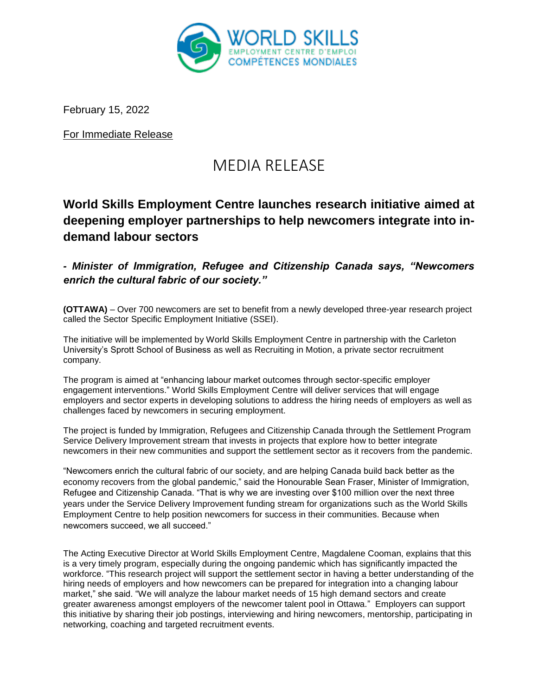

February 15, 2022

For Immediate Release

# MEDIA RELEASE

## **World Skills Employment Centre launches research initiative aimed at deepening employer partnerships to help newcomers integrate into indemand labour sectors**

*- Minister of Immigration, Refugee and Citizenship Canada says, "Newcomers enrich the cultural fabric of our society."*

**(OTTAWA)** – Over 700 newcomers are set to benefit from a newly developed three-year research project called the Sector Specific Employment Initiative (SSEI).

The initiative will be implemented by World Skills Employment Centre in partnership with the Carleton University's Sprott School of Business as well as Recruiting in Motion, a private sector recruitment company.

The program is aimed at "enhancing labour market outcomes through sector-specific employer engagement interventions." World Skills Employment Centre will deliver services that will engage employers and sector experts in developing solutions to address the hiring needs of employers as well as challenges faced by newcomers in securing employment.

The project is funded by Immigration, Refugees and Citizenship Canada through the Settlement Program Service Delivery Improvement stream that invests in projects that explore how to better integrate newcomers in their new communities and support the settlement sector as it recovers from the pandemic.

"Newcomers enrich the cultural fabric of our society, and are helping Canada build back better as the economy recovers from the global pandemic," said the Honourable Sean Fraser, Minister of Immigration, Refugee and Citizenship Canada. "That is why we are investing over \$100 million over the next three years under the Service Delivery Improvement funding stream for organizations such as the World Skills Employment Centre to help position newcomers for success in their communities. Because when newcomers succeed, we all succeed."

The Acting Executive Director at World Skills Employment Centre, Magdalene Cooman, explains that this is a very timely program, especially during the ongoing pandemic which has significantly impacted the workforce. "This research project will support the settlement sector in having a better understanding of the hiring needs of employers and how newcomers can be prepared for integration into a changing labour market," she said. "We will analyze the labour market needs of 15 high demand sectors and create greater awareness amongst employers of the newcomer talent pool in Ottawa." Employers can support this initiative by sharing their job postings, interviewing and hiring newcomers, mentorship, participating in networking, coaching and targeted recruitment events.